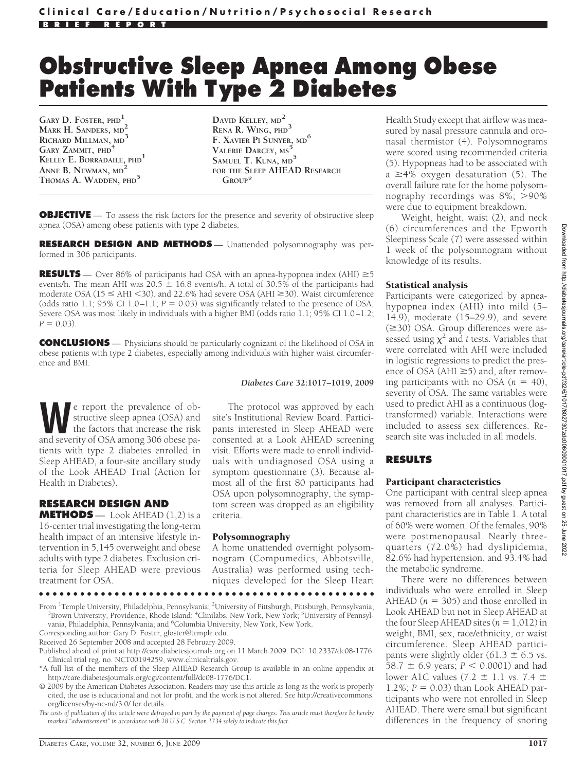# **Obstructive Sleep Apnea Among Obese Patients With Type 2 Diabetes**

**GARY D. FOSTER, PHD<sup>1</sup> MARK H. SANDERS, MD<sup>2</sup> RICHARD MILLMAN, MD<sup>3</sup> GARY ZAMMIT, PHD<sup>4</sup> KELLEY E. BORRADAILE, PHD<sup>1</sup> ANNE B. NEWMAN, MD<sup>2</sup> THOMAS A. WADDEN, PHD<sup>5</sup>**

**DAVID KELLEY, MD<sup>2</sup> RENA R. WING, PHD<sup>3</sup> F. XAVIER PI SUNYER, MD<sup>6</sup> VALERIE DARCEY, MS<sup>5</sup> SAMUEL T. KUNA, MD<sup>5</sup> FOR THE SLEEP AHEAD RESEARCH GROUP\***

**OBJECTIVE** — To assess the risk factors for the presence and severity of obstructive sleep apnea (OSA) among obese patients with type 2 diabetes.

**RESEARCH DESIGN AND METHODS** — Unattended polysomnography was performed in 306 participants.

**RESULTS** — Over 86% of participants had OSA with an apnea-hypopnea index (AHI)  $\geq 5$ events/h. The mean AHI was  $20.5 \pm 16.8$  events/h. A total of 30.5% of the participants had moderate OSA ( $15 \leq AHI \leq 30$ ), and 22.6% had severe OSA ( $AHI \geq 30$ ). Waist circumference (odds ratio 1.1; 95% CI 1.0–1.1;  $P = 0.03$ ) was significantly related to the presence of OSA. Severe OSA was most likely in individuals with a higher BMI (odds ratio 1.1; 95% CI 1.0–1.2;  $P = 0.03$ .

**CONCLUSIONS** — Physicians should be particularly cognizant of the likelihood of OSA in obese patients with type 2 diabetes, especially among individuals with higher waist circumference and BMI.

#### *Diabetes Care* **32:1017–1019, 2009**

Exercit the prevalence of obstructive sleep apnea (OSA) and the factors that increase the risk and severity of OSA among 306 obese pastructive sleep apnea (OSA) and the factors that increase the risk and severity of OSA among 306 obese patients with type 2 diabetes enrolled in Sleep AHEAD, a four-site ancillary study of the Look AHEAD Trial (Action for Health in Diabetes).

# **RESEARCH DESIGN AND**

**METHODS** — Look AHEAD (1,2) is a 16-center trial investigating the long-term health impact of an intensive lifestyle intervention in 5,145 overweight and obese adults with type 2 diabetes. Exclusion criteria for Sleep AHEAD were previous treatment for OSA.

The protocol was approved by each site's Institutional Review Board. Participants interested in Sleep AHEAD were consented at a Look AHEAD screening visit. Efforts were made to enroll individuals with undiagnosed OSA using a symptom questionnaire (3). Because almost all of the first 80 participants had OSA upon polysomnography, the symptom screen was dropped as an eligibility criteria.

#### Polysomnography

A home unattended overnight polysomnogram (Compumedics, Abbotsville, Australia) was performed using techniques developed for the Sleep Heart

●●●●●●●●●●●●●●●●●●●●●●●●●●●●●●●●●●●●●●●●●●●●●●●●●

From <sup>1</sup>Temple University, Philadelphia, Pennsylvania; <sup>2</sup>University of Pittsburgh, Pittsburgh, Pennsylvania;<br><sup>3</sup>Brown University, Providence, Phode Jsland: <sup>4</sup>Clinilabs, New York, New York<sup>, 5</sup>University of Pennsyl. Brown University, Providence, Rhode Island; <sup>4</sup>Clinilabs, New York, New York; <sup>5</sup>University of Pennsylvania, Philadelphia, Pennsylvania; and <sup>6</sup>Columbia University, New York, New York.

Corresponding author: Gary D. Foster, gfoster@temple.edu.

Received 26 September 2008 and accepted 28 February 2009.

Published ahead of print at http://care.diabetesjournals.org on 11 March 2009. DOI: 10.2337/dc08-1776. Clinical trial reg. no. NCT00194259, www.clinicaltrials.gov.

\*A full list of the members of the Sleep AHEAD Research Group is available in an online appendix at http://care.diabetesjournals.org/cgi/content/full/dc08-1776/DC1.

© 2009 by the American Diabetes Association. Readers may use this article as long as the work is properly cited, the use is educational and not for profit, and the work is not altered. See http://creativecommons. org/licenses/by-nc-nd/3.0/ for details.

*The costs of publication of this article were defrayed in part by the payment of page charges. This article must therefore be hereby marked "advertisement" in accordance with 18 U.S.C. Section 1734 solely to indicate this fact.*

Health Study except that airflow was measured by nasal pressure cannula and oronasal thermistor (4). Polysomnograms were scored using recommended criteria (5). Hypopneas had to be associated with  $a \geq 4\%$  oxygen desaturation (5). The overall failure rate for the home polysomnography recordings was  $8\%$ ;  $>90\%$ were due to equipment breakdown.

Weight, height, waist (2), and neck (6) circumferences and the Epworth Sleepiness Scale (7) were assessed within 1 week of the polysomnogram without knowledge of its results.

#### Statistical analysis

Participants were categorized by apneahypopnea index (AHI) into mild (5– 14.9), moderate (15–29.9), and severe  $(\geq 30)$  OSA. Group differences were assessed using  $\chi^2$  and *t* tests. Variables that were correlated with AHI were included in logistic regressions to predict the presence of OSA (AHI  $\geq$ 5) and, after removing participants with no OSA  $(n = 40)$ , severity of OSA. The same variables were used to predict AHI as a continuous (logtransformed) variable. Interactions were included to assess sex differences. Research site was included in all models.

# **RESULTS**

#### Participant characteristics

One participant with central sleep apnea was removed from all analyses. Participant characteristics are in Table 1. A total of 60% were women. Of the females, 90% were postmenopausal. Nearly threequarters (72.0%) had dyslipidemia, 82.6% had hypertension, and 93.4% had the metabolic syndrome.

There were no differences between individuals who were enrolled in Sleep AHEAD ( $n = 305$ ) and those enrolled in Look AHEAD but not in Sleep AHEAD at the four Sleep AHEAD sites  $(n = 1,012)$  in weight, BMI, sex, race/ethnicity, or waist circumference. Sleep AHEAD participants were slightly older (61.3  $\pm$  6.5 vs.  $58.7 \pm 6.9$  years;  $P < 0.0001$ ) and had lower A1C values (7.2  $\pm$  1.1 vs. 7.4  $\pm$ 1.2%;  $P = 0.03$ ) than Look AHEAD participants who were not enrolled in Sleep AHEAD. There were small but significant differences in the frequency of snoring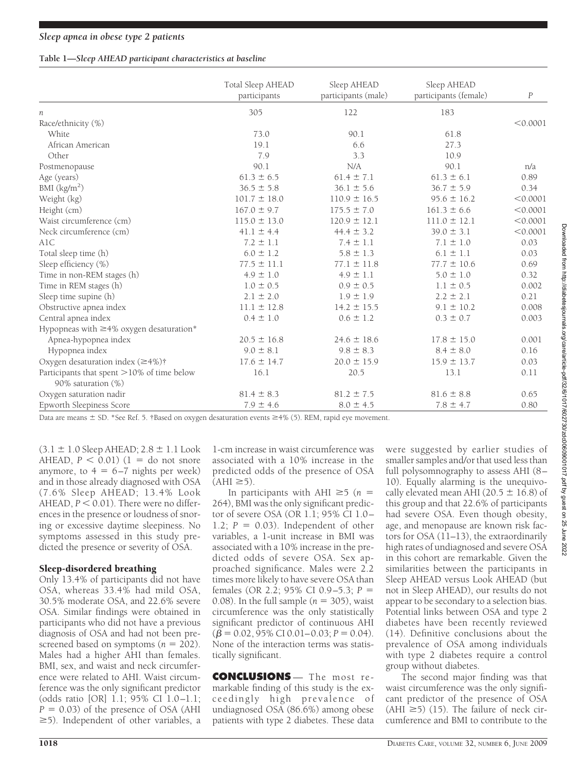# **Table 1—***Sleep AHEAD participant characteristics at baseline*

|                                               | Total Sleep AHEAD<br>participants | Sleep AHEAD<br>participants (male) | Sleep AHEAD<br>participants (female) | $\boldsymbol{P}$ |
|-----------------------------------------------|-----------------------------------|------------------------------------|--------------------------------------|------------------|
| n                                             | 305                               | 122                                | 183                                  |                  |
| Race/ethnicity (%)                            |                                   |                                    |                                      | < 0.0001         |
| White                                         | 73.0                              | 90.1                               | 61.8                                 |                  |
| African American                              | 19.1                              | 6.6                                | 27.3                                 |                  |
| Other                                         | 7.9                               | 3.3                                | 10.9                                 |                  |
| Postmenopause                                 | 90.1                              | N/A                                | 90.1                                 | n/a              |
| Age (years)                                   | $61.3 \pm 6.5$                    | $61.4 \pm 7.1$                     | $61.3 \pm 6.1$                       | 0.89             |
| BMI $(kg/m2)$                                 | $36.5 \pm 5.8$                    | $36.1 \pm 5.6$                     | $36.7 \pm 5.9$                       | 0.34             |
| Weight (kg)                                   | $101.7 \pm 18.0$                  | $110.9 \pm 16.5$                   | $95.6 \pm 16.2$                      | < 0.0001         |
| Height (cm)                                   | $167.0 \pm 9.7$                   | $175.5 \pm 7.0$                    | $161.3 \pm 6.6$                      | < 0.0001         |
| Waist circumference (cm)                      | $115.0 \pm 13.0$                  | $120.9 \pm 12.1$                   | $111.0 \pm 12.1$                     | < 0.0001         |
| Neck circumference (cm)                       | $41.1 \pm 4.4$                    | $44.4 \pm 3.2$                     | $39.0 \pm 3.1$                       | < 0.0001         |
| A1C                                           | $7.2 \pm 1.1$                     | $7.4 \pm 1.1$                      | $7.1 \pm 1.0$                        | 0.03             |
| Total sleep time (h)                          | $6.0 \pm 1.2$                     | $5.8 \pm 1.3$                      | $6.1 \pm 1.1$                        | 0.03             |
| Sleep efficiency (%)                          | $77.5 \pm 11.1$                   | $77.1 \pm 11.8$                    | $77.7 \pm 10.6$                      | 0.69             |
| Time in non-REM stages (h)                    | $4.9 \pm 1.0$                     | $4.9 \pm 1.1$                      | $5.0 \pm 1.0$                        | 0.32             |
| Time in REM stages (h)                        | $1.0 \pm 0.5$                     | $0.9 \pm 0.5$                      | $1.1 \pm 0.5$                        | 0.002            |
| Sleep time supine (h)                         | $2.1 \pm 2.0$                     | $1.9 \pm 1.9$                      | $2.2 \pm 2.1$                        | 0.21             |
| Obstructive apnea index                       | $11.1 \pm 12.8$                   | $14.2 \pm 15.5$                    | $9.1 \pm 10.2$                       | 0.008            |
| Central apnea index                           | $0.4 \pm 1.0$                     | $0.6 \pm 1.2$                      | $0.3 \pm 0.7$                        | 0.003            |
| Hypopneas with $\geq$ 4% oxygen desaturation* |                                   |                                    |                                      |                  |
| Apnea-hypopnea index                          | $20.5 \pm 16.8$                   | $24.6 \pm 18.6$                    | $17.8 \pm 15.0$                      | 0.001            |
| Hypopnea index                                | $9.0 \pm 8.1$                     | $9.8 \pm 8.3$                      | $8.4 \pm 8.0$                        | 0.16             |
| Oxygen desaturation index $(\geq 4\%)\dagger$ | $17.6 \pm 14.7$                   | $20.0 \pm 15.9$                    | $15.9 \pm 13.7$                      | 0.03             |
| Participants that spent >10% of time below    | 16.1                              | 20.5                               | 13.1                                 | 0.11             |
| 90% saturation (%)                            |                                   |                                    |                                      |                  |
| Oxygen saturation nadir                       | $81.4 \pm 8.3$                    | $81.2 \pm 7.5$                     | $81.6 \pm 8.8$                       | 0.65             |
| <b>Epworth Sleepiness Score</b>               | $7.9 \pm 4.6$                     | $8.0 \pm 4.5$                      | $7.8 \pm 4.7$                        | 0.80             |

Data are means  $\pm$  SD. \*See Ref. 5. †Based on oxygen desaturation events  $\geq$ 4% (5). REM, rapid eye movement.

 $(3.1 \pm 1.0$  Sleep AHEAD;  $2.8 \pm 1.1$  Look AHEAD,  $P < 0.01$ ) (1 = do not snore anymore, to  $4 = 6-7$  nights per week) and in those already diagnosed with OSA (7.6% Sleep AHEAD; 13.4% Look  $AHEAD, P < 0.01$ ). There were no differences in the presence or loudness of snoring or excessive daytime sleepiness. No symptoms assessed in this study predicted the presence or severity of OSA.

# Sleep-disordered breathing

Only 13.4% of participants did not have OSA, whereas 33.4% had mild OSA, 30.5% moderate OSA, and 22.6% severe OSA. Similar findings were obtained in participants who did not have a previous diagnosis of OSA and had not been prescreened based on symptoms  $(n = 202)$ . Males had a higher AHI than females. BMI, sex, and waist and neck circumference were related to AHI. Waist circumference was the only significant predictor (odds ratio [OR] 1.1; 95% CI 1.0–1.1;  $P = 0.03$ ) of the presence of OSA (AHI  $\geq$ 5). Independent of other variables, a

1-cm increase in waist circumference was associated with a 10% increase in the predicted odds of the presence of OSA  $(AHI \ge 5)$ .

In participants with AHI  $\geq 5$  (*n* = 264), BMI was the only significant predictor of severe OSA (OR 1.1; 95% CI 1.0– 1.2;  $P = 0.03$ ). Independent of other variables, a 1-unit increase in BMI was associated with a 10% increase in the predicted odds of severe OSA. Sex approached significance. Males were 2.2 times more likely to have severe OSA than females (OR 2.2; 95% CI 0.9–5.3; *P* 0.08). In the full sample  $(n = 305)$ , waist circumference was the only statistically significant predictor of continuous AHI  $(\overline{\beta} = 0.02, \overline{95\% \text{ CI } 0.01 - 0.03; P = 0.04}).$ None of the interaction terms was statistically significant.

**CONCLUSIONS** — The most remarkable finding of this study is the exceedingly high prevalence of undiagnosed OSA (86.6%) among obese patients with type 2 diabetes. These data

were suggested by earlier studies of smaller samples and/or that used less than full polysomnography to assess AHI (8– 10). Equally alarming is the unequivocally elevated mean AHI (20.5  $\pm$  16.8) of this group and that 22.6% of participants had severe OSA. Even though obesity, age, and menopause are known risk factors for OSA (11–13), the extraordinarily high rates of undiagnosed and severe OSA in this cohort are remarkable. Given the similarities between the participants in Sleep AHEAD versus Look AHEAD (but not in Sleep AHEAD), our results do not appear to be secondary to a selection bias. Potential links between OSA and type 2 diabetes have been recently reviewed (14). Definitive conclusions about the prevalence of OSA among individuals with type 2 diabetes require a control group without diabetes.

The second major finding was that waist circumference was the only significant predictor of the presence of OSA  $(AHI \ge 5)$  (15). The failure of neck circumference and BMI to contribute to the